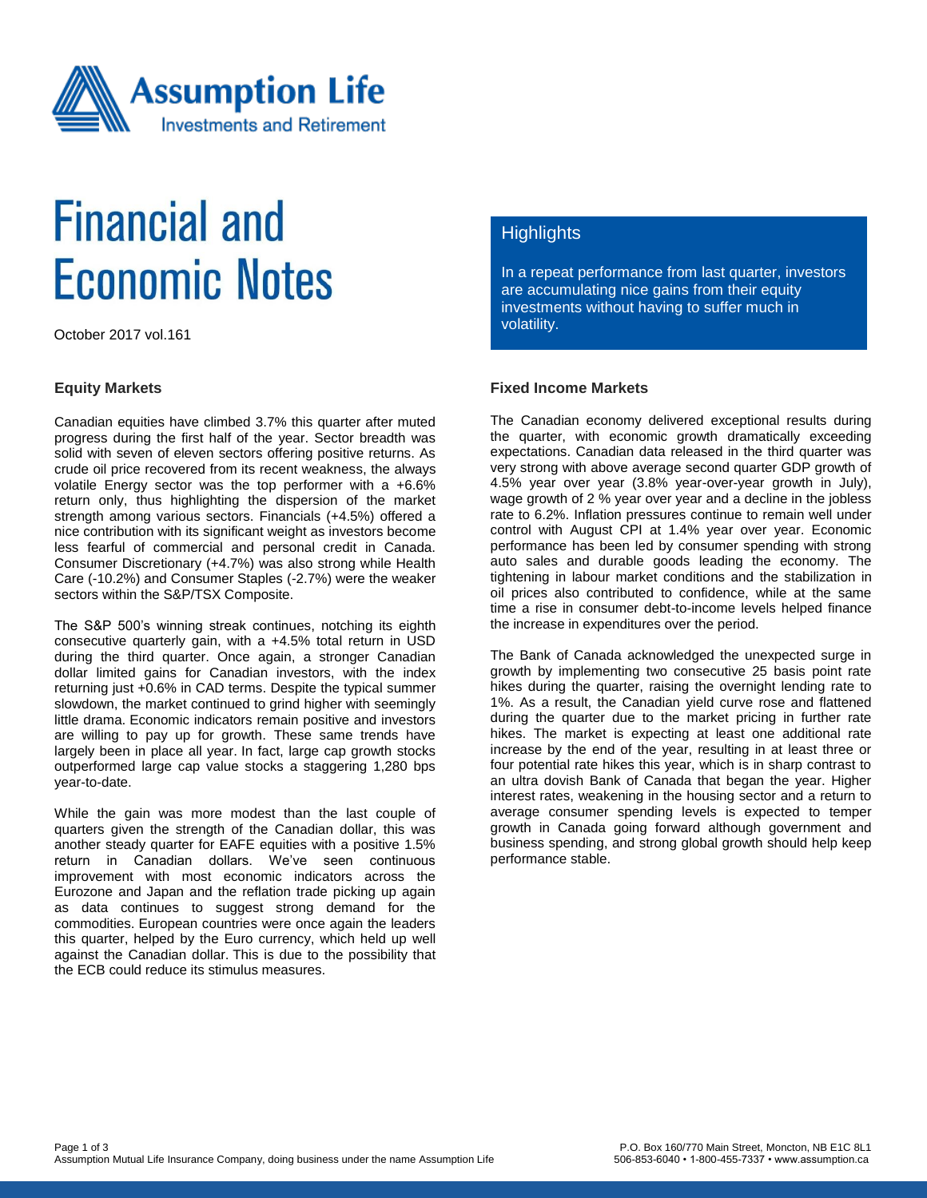

# **Financial and Economic Notes**

October 2017 vol.161

#### **Equity Markets**

Canadian equities have climbed 3.7% this quarter after muted progress during the first half of the year. Sector breadth was solid with seven of eleven sectors offering positive returns. As crude oil price recovered from its recent weakness, the always volatile Energy sector was the top performer with a +6.6% return only, thus highlighting the dispersion of the market strength among various sectors. Financials (+4.5%) offered a nice contribution with its significant weight as investors become less fearful of commercial and personal credit in Canada. Consumer Discretionary (+4.7%) was also strong while Health Care (-10.2%) and Consumer Staples (-2.7%) were the weaker sectors within the S&P/TSX Composite.

The S&P 500's winning streak continues, notching its eighth consecutive quarterly gain, with a +4.5% total return in USD during the third quarter. Once again, a stronger Canadian dollar limited gains for Canadian investors, with the index returning just +0.6% in CAD terms. Despite the typical summer slowdown, the market continued to grind higher with seemingly little drama. Economic indicators remain positive and investors are willing to pay up for growth. These same trends have largely been in place all year. In fact, large cap growth stocks outperformed large cap value stocks a staggering 1,280 bps year-to-date.

While the gain was more modest than the last couple of quarters given the strength of the Canadian dollar, this was another steady quarter for EAFE equities with a positive 1.5% return in Canadian dollars. We've seen continuous improvement with most economic indicators across the Eurozone and Japan and the reflation trade picking up again as data continues to suggest strong demand for the commodities. European countries were once again the leaders this quarter, helped by the Euro currency, which held up well against the Canadian dollar. This is due to the possibility that the ECB could reduce its stimulus measures.

## **Highlights**

In a repeat performance from last quarter, investors are accumulating nice gains from their equity investments without having to suffer much in volatility.

## **Fixed Income Markets**

The Canadian economy delivered exceptional results during the quarter, with economic growth dramatically exceeding expectations. Canadian data released in the third quarter was very strong with above average second quarter GDP growth of 4.5% year over year (3.8% year-over-year growth in July), wage growth of 2 % year over year and a decline in the jobless rate to 6.2%. Inflation pressures continue to remain well under control with August CPI at 1.4% year over year. Economic performance has been led by consumer spending with strong auto sales and durable goods leading the economy. The tightening in labour market conditions and the stabilization in oil prices also contributed to confidence, while at the same time a rise in consumer debt-to-income levels helped finance the increase in expenditures over the period.

The Bank of Canada acknowledged the unexpected surge in growth by implementing two consecutive 25 basis point rate hikes during the quarter, raising the overnight lending rate to 1%. As a result, the Canadian yield curve rose and flattened during the quarter due to the market pricing in further rate hikes. The market is expecting at least one additional rate increase by the end of the year, resulting in at least three or four potential rate hikes this year, which is in sharp contrast to an ultra dovish Bank of Canada that began the year. Higher interest rates, weakening in the housing sector and a return to average consumer spending levels is expected to temper growth in Canada going forward although government and business spending, and strong global growth should help keep performance stable.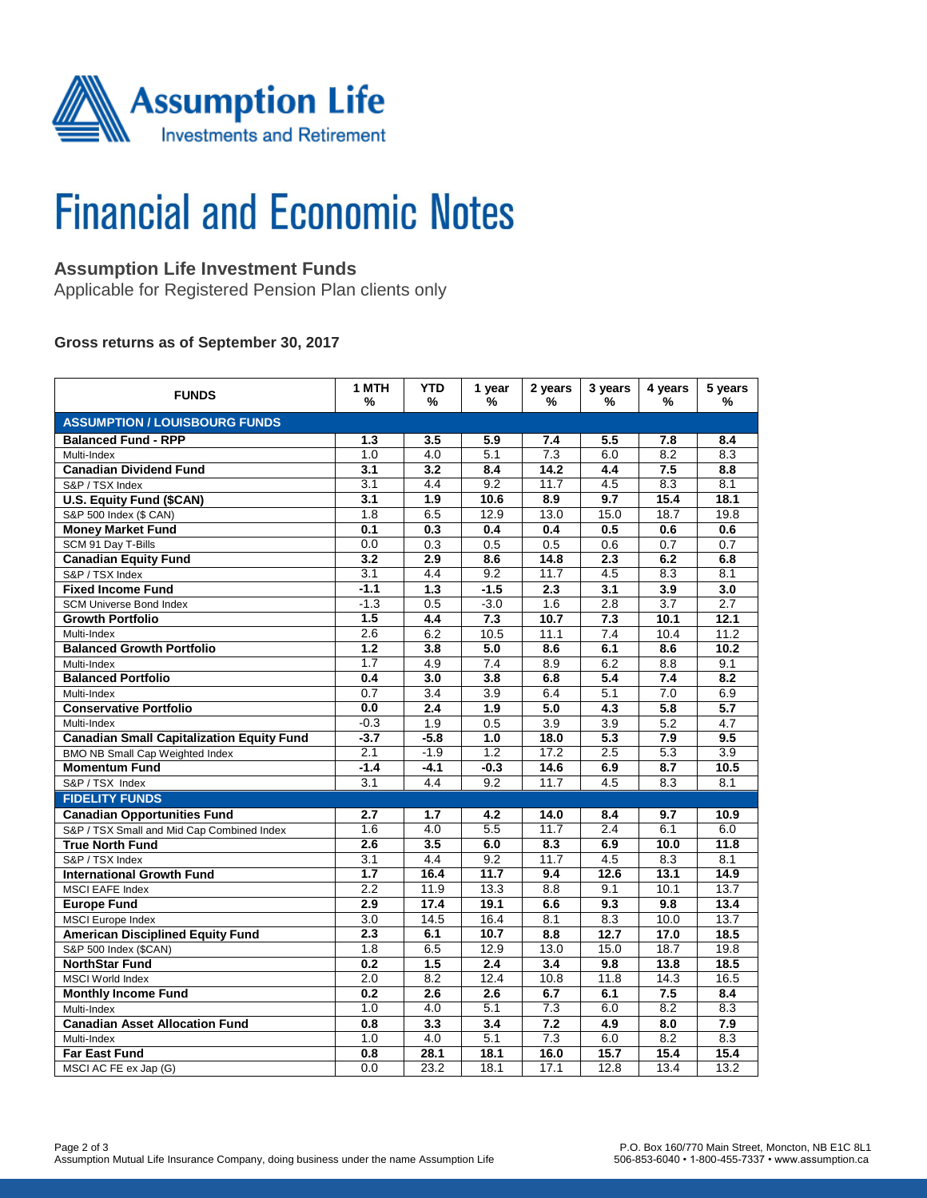

# **Financial and Economic Notes**

## **Assumption Life Investment Funds**

Applicable for Registered Pension Plan clients only

#### **Gross returns as of September 30, 2017**

| <b>FUNDS</b>                                     | 1 MTH<br>%       | <b>YTD</b><br>% | 1 year<br>%      | 2 years<br>% | 3 years<br>%     | 4 years<br>%     | 5 years<br>%     |  |  |  |  |
|--------------------------------------------------|------------------|-----------------|------------------|--------------|------------------|------------------|------------------|--|--|--|--|
| <b>ASSUMPTION / LOUISBOURG FUNDS</b>             |                  |                 |                  |              |                  |                  |                  |  |  |  |  |
| <b>Balanced Fund - RPP</b>                       | 1.3              | 3.5             | 5.9              | 7.4          | 5.5              | 7.8              | 8.4              |  |  |  |  |
| Multi-Index                                      | 1.0              | 4.0             | 5.1              | 7.3          | 6.0              | 8.2              | 8.3              |  |  |  |  |
| <b>Canadian Dividend Fund</b>                    | 3.1              | 3.2             | 8.4              | 14.2         | 4.4              | 7.5              | 8.8              |  |  |  |  |
| S&P / TSX Index                                  | 3.1              | 4.4             | 9.2              | 11.7         | 4.5              | 8.3              | 8.1              |  |  |  |  |
| <b>U.S. Equity Fund (\$CAN)</b>                  | 3.1              | 1.9             | 10.6             | 8.9          | 9.7              | 15.4             | 18.1             |  |  |  |  |
| S&P 500 Index (\$ CAN)                           | 1.8              | 6.5             | 12.9             | 13.0         | 15.0             | 18.7             | 19.8             |  |  |  |  |
| <b>Money Market Fund</b>                         | 0.1              | 0.3             | 0.4              | 0.4          | 0.5              | 0.6              | 0.6              |  |  |  |  |
| SCM 91 Day T-Bills                               | 0.0              | 0.3             | 0.5              | 0.5          | 0.6              | 0.7              | 0.7              |  |  |  |  |
| <b>Canadian Equity Fund</b>                      | $\overline{3.2}$ | 2.9             | 8.6              | 14.8         | 2.3              | 6.2              | 6.8              |  |  |  |  |
| S&P / TSX Index                                  | $\overline{3.1}$ | 4.4             | 9.2              | 11.7         | 4.5              | 8.3              | 8.1              |  |  |  |  |
| <b>Fixed Income Fund</b>                         | $-1.1$           | 1.3             | $-1.5$           | 2.3          | 3.1              | 3.9              | 3.0              |  |  |  |  |
| <b>SCM Universe Bond Index</b>                   | $-1.3$           | 0.5             | $-3.0$           | 1.6          | 2.8              | 3.7              | 2.7              |  |  |  |  |
| <b>Growth Portfolio</b>                          | 1.5              | 4.4             | 7.3              | 10.7         | 7.3              | 10.1             | 12.1             |  |  |  |  |
| Multi-Index                                      | 2.6              | 6.2             | 10.5             | 11.1         | $\overline{7.4}$ | 10.4             | 11.2             |  |  |  |  |
| <b>Balanced Growth Portfolio</b>                 | 1.2              | 3.8             | 5.0              | 8.6          | 6.1              | 8.6              | 10.2             |  |  |  |  |
| Multi-Index                                      | 1.7              | 4.9             | 7.4              | 8.9          | 6.2              | 8.8              | 9.1              |  |  |  |  |
| <b>Balanced Portfolio</b>                        | 0.4              | 3.0             | 3.8              | 6.8          | 5.4              | 7.4              | 8.2              |  |  |  |  |
| Multi-Index                                      | 0.7              | 3.4             | 3.9              | 6.4          | 5.1              | 7.0              | 6.9              |  |  |  |  |
| <b>Conservative Portfolio</b>                    | 0.0              | 2.4             | 1.9              | 5.0          | 4.3              | 5.8              | 5.7              |  |  |  |  |
| Multi-Index                                      | $-0.3$           | 1.9             | 0.5              | 3.9          | 3.9              | $\overline{5.2}$ | 4.7              |  |  |  |  |
| <b>Canadian Small Capitalization Equity Fund</b> | $-3.7$           | $-5.8$          | $\overline{1.0}$ | 18.0         | $\overline{5.3}$ | 7.9              | 9.5              |  |  |  |  |
| BMO NB Small Cap Weighted Index                  | 2.1              | $-1.9$          | 1.2              | 17.2         | 2.5              | 5.3              | $\overline{3.9}$ |  |  |  |  |
| <b>Momentum Fund</b>                             | $-1.4$           | $-4.1$          | $-0.3$           | 14.6         | 6.9              | 8.7              | 10.5             |  |  |  |  |
| S&P / TSX Index                                  | 3.1              | 4.4             | 9.2              | 11.7         | 4.5              | 8.3              | 8.1              |  |  |  |  |
| <b>FIDELITY FUNDS</b>                            |                  |                 |                  |              |                  |                  |                  |  |  |  |  |
| <b>Canadian Opportunities Fund</b>               | 2.7              | 1.7             | 4.2              | 14.0         | 8.4              | 9.7              | 10.9             |  |  |  |  |
| S&P / TSX Small and Mid Cap Combined Index       | 1.6              | 4.0             | 5.5              | 11.7         | 2.4              | 6.1              | 6.0              |  |  |  |  |
| <b>True North Fund</b>                           | 2.6              | 3.5             | 6.0              | 8.3          | 6.9              | 10.0             | 11.8             |  |  |  |  |
| S&P / TSX Index                                  | 3.1              | 4.4             | 9.2              | 11.7         | 4.5              | 8.3              | 8.1              |  |  |  |  |
| <b>International Growth Fund</b>                 | $\overline{1.7}$ | 16.4            | 11.7             | 9.4          | 12.6             | 13.1             | 14.9             |  |  |  |  |
| <b>MSCI EAFE Index</b>                           | $\overline{2.2}$ | 11.9            | 13.3             | 8.8          | 9.1              | 10.1             | 13.7             |  |  |  |  |
| <b>Europe Fund</b>                               | 2.9              | 17.4            | 19.1             | 6.6          | 9.3              | 9.8              | 13.4             |  |  |  |  |
| <b>MSCI</b> Europe Index                         | 3.0              | 14.5            | 16.4             | 8.1          | 8.3              | 10.0             | 13.7             |  |  |  |  |
| <b>American Disciplined Equity Fund</b>          | 2.3              | 6.1             | 10.7             | 8.8          | 12.7             | 17.0             | 18.5             |  |  |  |  |
| S&P 500 Index (\$CAN)                            | 1.8              | 6.5             | 12.9             | 13.0         | 15.0             | 18.7             | 19.8             |  |  |  |  |
| <b>NorthStar Fund</b>                            | 0.2              | 1.5             | 2.4              | 3.4          | 9.8              | 13.8             | 18.5             |  |  |  |  |
| <b>MSCI World Index</b>                          | 2.0              | 8.2             | 12.4             | 10.8         | 11.8             | 14.3             | 16.5             |  |  |  |  |
| <b>Monthly Income Fund</b>                       | 0.2              | 2.6             | 2.6              | 6.7          | 6.1              | 7.5              | 8.4              |  |  |  |  |
| Multi-Index                                      | 1.0              | 4.0             | 5.1              | 7.3          | 6.0              | 8.2              | 8.3              |  |  |  |  |
| <b>Canadian Asset Allocation Fund</b>            | 0.8              | 3.3             | 3.4              | 7.2          | 4.9              | 8.0              | 7.9              |  |  |  |  |
| Multi-Index                                      | 1.0              | 4.0             | 5.1              | 7.3          | 6.0              | 8.2              | 8.3              |  |  |  |  |
| <b>Far East Fund</b>                             | 0.8              | 28.1            | 18.1             | 16.0         | 15.7             | 15.4             | 15.4             |  |  |  |  |
| MSCI AC FE ex Jap (G)                            | 0.0              | 23.2            | 18.1             | 17.1         | 12.8             | 13.4             | 13.2             |  |  |  |  |